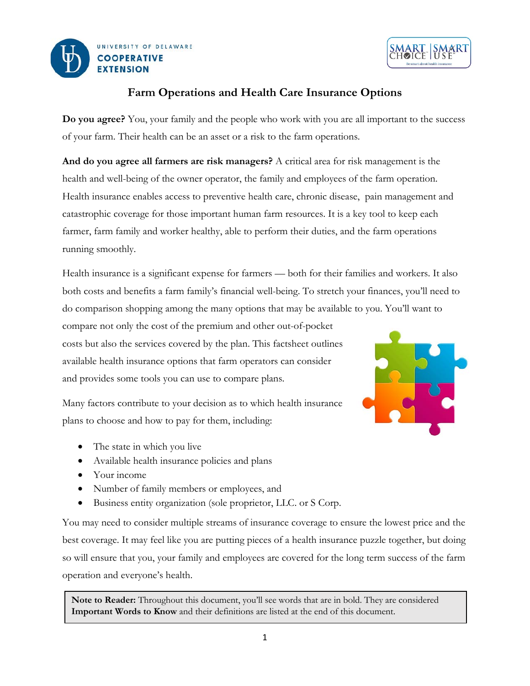



# **Farm Operations and Health Care Insurance Options**

**Do you agree?** You, your family and the people who work with you are all important to the success of your farm. Their health can be an asset or a risk to the farm operations.

**And do you agree all farmers are risk managers?** A critical area for risk management is the health and well-being of the owner operator, the family and employees of the farm operation. Health insurance enables access to preventive health care, chronic disease, pain management and catastrophic coverage for those important human farm resources. It is a key tool to keep each farmer, farm family and worker healthy, able to perform their duties, and the farm operations running smoothly.

Health insurance is a significant expense for farmers — both for their families and workers. It also both costs and benefits a farm family's financial well-being. To stretch your finances, you'll need to do comparison shopping among the many options that may be available to you. You'll want to

compare not only the cost of the premium and other out-of-pocket costs but also the services covered by the plan. This factsheet outlines available health insurance options that farm operators can consider and provides some tools you can use to compare plans.



Many factors contribute to your decision as to which health insurance plans to choose and how to pay for them, including:

- The state in which you live
- Available health insurance policies and plans
- Your income
- Number of family members or employees, and
- Business entity organization (sole proprietor, LLC. or S Corp.

You may need to consider multiple streams of insurance coverage to ensure the lowest price and the best coverage. It may feel like you are putting pieces of a health insurance puzzle together, but doing so will ensure that you, your family and employees are covered for the long term success of the farm operation and everyone's health.

**Note to Reader:** Throughout this document, you'll see words that are in bold. They are considered **Important Words to Know** and their definitions are listed at the end of this document.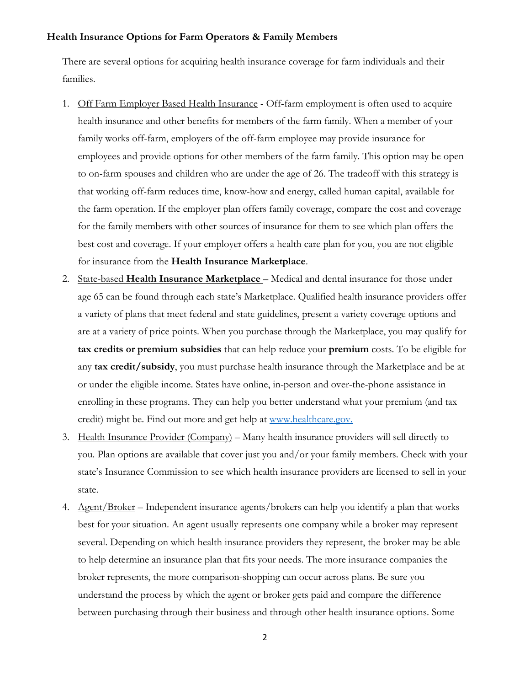#### **Health Insurance Options for Farm Operators & Family Members**

There are several options for acquiring health insurance coverage for farm individuals and their families.

- 1. Off Farm Employer Based Health Insurance Off-farm employment is often used to acquire health insurance and other benefits for members of the farm family. When a member of your family works off-farm, employers of the off-farm employee may provide insurance for employees and provide options for other members of the farm family. This option may be open to on-farm spouses and children who are under the age of 26. The tradeoff with this strategy is that working off-farm reduces time, know-how and energy, called human capital, available for the farm operation. If the employer plan offers family coverage, compare the cost and coverage for the family members with other sources of insurance for them to see which plan offers the best cost and coverage. If your employer offers a health care plan for you, you are not eligible for insurance from the **Health Insurance Marketplace**.
- 2. State-based **Health Insurance Marketplace** Medical and dental insurance for those under age 65 can be found through each state's Marketplace. Qualified health insurance providers offer a variety of plans that meet federal and state guidelines, present a variety coverage options and are at a variety of price points. When you purchase through the Marketplace, you may qualify for **tax credits or premium subsidies** that can help reduce your **premium** costs. To be eligible for any **tax credit/subsidy**, you must purchase health insurance through the Marketplace and be at or under the eligible income. States have online, in-person and over-the-phone assistance in enrolling in these programs. They can help you better understand what your premium (and tax credit) might be. Find out more and get help at [www.healthcare.gov.](http://www.healthcare.gov/)
- 3. Health Insurance Provider (Company) Many health insurance providers will sell directly to you. Plan options are available that cover just you and/or your family members. Check with your state's Insurance Commission to see which health insurance providers are licensed to sell in your state.
- 4. Agent/Broker Independent insurance agents/brokers can help you identify a plan that works best for your situation. An agent usually represents one company while a broker may represent several. Depending on which health insurance providers they represent, the broker may be able to help determine an insurance plan that fits your needs. The more insurance companies the broker represents, the more comparison-shopping can occur across plans. Be sure you understand the process by which the agent or broker gets paid and compare the difference between purchasing through their business and through other health insurance options. Some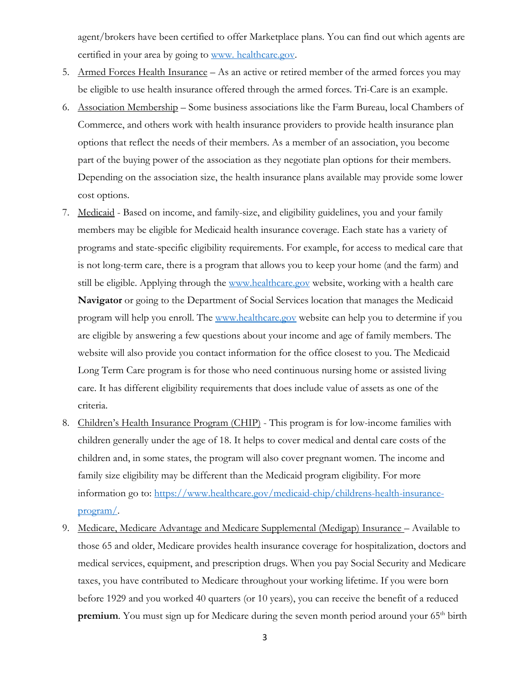agent/brokers have been certified to offer Marketplace plans. You can find out which agents are certified in your area by going to [www. healthcare.gov.](http://www.healthcare.gov/)

- 5. Armed Forces Health Insurance As an active or retired member of the armed forces you may be eligible to use health insurance offered through the armed forces. Tri-Care is an example.
- 6. Association Membership Some business associations like the Farm Bureau, local Chambers of Commerce, and others work with health insurance providers to provide health insurance plan options that reflect the needs of their members. As a member of an association, you become part of the buying power of the association as they negotiate plan options for their members. Depending on the association size, the health insurance plans available may provide some lower cost options.
- 7. Medicaid Based on income, and family-size, and eligibility guidelines, you and your family members may be eligible for Medicaid health insurance coverage. Each state has a variety of programs and state-specific eligibility requirements. For example, for access to medical care that is not long-term care, there is a program that allows you to keep your home (and the farm) and still be eligible. Applying through the [www.healthcare.gov](http://www.healthcare.gov/) website, working with a health care **Navigator** or going to the Department of Social Services location that manages the Medicaid program will help you enroll. The www.healthcare.gov website can help you to determine if you are eligible by answering a few questions about your income and age of family members. The website will also provide you contact information for the office closest to you. The Medicaid Long Term Care program is for those who need continuous nursing home or assisted living care. It has different eligibility requirements that does include value of assets as one of the criteria.
- 8. Children's Health Insurance Program (CHIP) This program is for low-income families with children generally under the age of 18. It helps to cover medical and dental care costs of the children and, in some states, the program will also cover pregnant women. The income and family size eligibility may be different than the Medicaid program eligibility. For more information go to: [https://www.healthcare.gov/medicaid-chip/childrens-health-insurance](https://www.healthcare.gov/medicaid-chip/childrens-health-insurance-program/)[program/.](https://www.healthcare.gov/medicaid-chip/childrens-health-insurance-program/)
- 9. Medicare, Medicare Advantage and Medicare Supplemental (Medigap) Insurance Available to those 65 and older, Medicare provides health insurance coverage for hospitalization, doctors and medical services, equipment, and prescription drugs. When you pay Social Security and Medicare taxes, you have contributed to Medicare throughout your working lifetime. If you were born before 1929 and you worked 40 quarters (or 10 years), you can receive the benefit of a reduced **premium**. You must sign up for Medicare during the seven month period around your 65<sup>th</sup> birth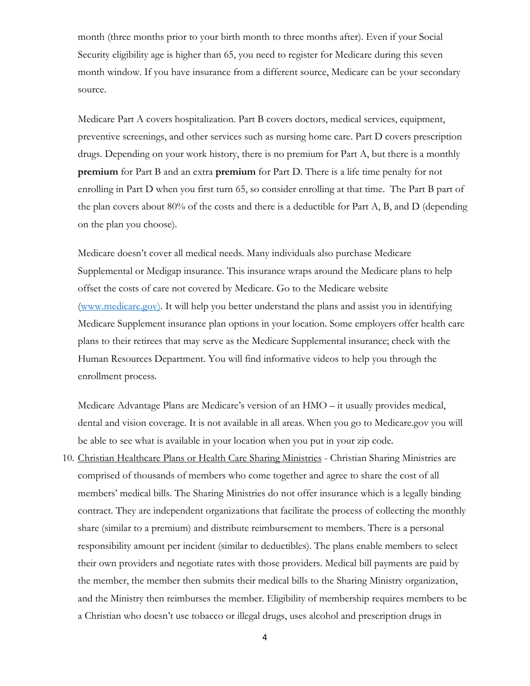month (three months prior to your birth month to three months after). Even if your Social Security eligibility age is higher than 65, you need to register for Medicare during this seven month window. If you have insurance from a different source, Medicare can be your secondary source.

Medicare Part A covers hospitalization. Part B covers doctors, medical services, equipment, preventive screenings, and other services such as nursing home care. Part D covers prescription drugs. Depending on your work history, there is no premium for Part A, but there is a monthly **premium** for Part B and an extra **premium** for Part D. There is a life time penalty for not enrolling in Part D when you first turn 65, so consider enrolling at that time. The Part B part of the plan covers about 80% of the costs and there is a deductible for Part A, B, and D (depending on the plan you choose).

Medicare doesn't cover all medical needs. Many individuals also purchase Medicare Supplemental or Medigap insurance. This insurance wraps around the Medicare plans to help offset the costs of care not covered by Medicare. Go to the Medicare website [\(www.medicare.gov\)](http://www.medicare.gov/). It will help you better understand the plans and assist you in identifying Medicare Supplement insurance plan options in your location. Some employers offer health care plans to their retirees that may serve as the Medicare Supplemental insurance; check with the Human Resources Department. You will find informative videos to help you through the enrollment process.

Medicare Advantage Plans are Medicare's version of an HMO – it usually provides medical, dental and vision coverage. It is not available in all areas. When you go to Medicare.gov you will be able to see what is available in your location when you put in your zip code.

10. Christian Healthcare Plans or Health Care Sharing Ministries - Christian Sharing Ministries are comprised of thousands of members who come together and agree to share the cost of all members' medical bills. The Sharing Ministries do not offer insurance which is a legally binding contract. They are independent organizations that facilitate the process of collecting the monthly share (similar to a premium) and distribute reimbursement to members. There is a personal responsibility amount per incident (similar to deductibles). The plans enable members to select their own providers and negotiate rates with those providers. Medical bill payments are paid by the member, the member then submits their medical bills to the Sharing Ministry organization, and the Ministry then reimburses the member. Eligibility of membership requires members to be a Christian who doesn't use tobacco or illegal drugs, uses alcohol and prescription drugs in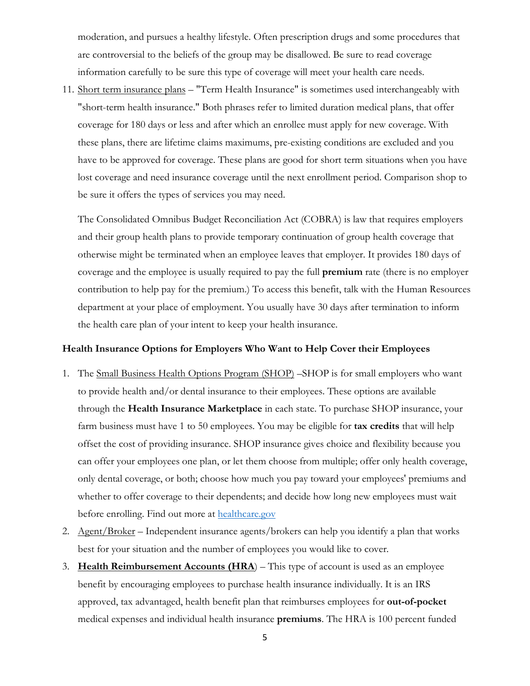moderation, and pursues a healthy lifestyle. Often prescription drugs and some procedures that are controversial to the beliefs of the group may be disallowed. Be sure to read coverage information carefully to be sure this type of coverage will meet your health care needs.

11. Short term insurance plans – "Term Health Insurance" is sometimes used interchangeably with "short-term health insurance." Both phrases refer to limited duration medical plans, that offer coverage for 180 days or less and after which an enrollee must apply for new coverage. With these plans, there are lifetime claims maximums, pre-existing conditions are excluded and you have to be approved for coverage. These plans are good for short term situations when you have lost coverage and need insurance coverage until the next enrollment period. Comparison shop to be sure it offers the types of services you may need.

The Consolidated Omnibus Budget Reconciliation Act (COBRA) is law that requires employers and their group health plans to provide temporary continuation of group health coverage that otherwise might be terminated when an employee leaves that employer. It provides 180 days of coverage and the employee is usually required to pay the full **premium** rate (there is no employer contribution to help pay for the premium.) To access this benefit, talk with the Human Resources department at your place of employment. You usually have 30 days after termination to inform the health care plan of your intent to keep your health insurance.

#### **Health Insurance Options for Employers Who Want to Help Cover their Employees**

- 1. The Small Business Health Options Program (SHOP) –SHOP is for small employers who want to provide health and/or dental insurance to their employees. These options are available through the **Health Insurance Marketplace** in each state. To purchase SHOP insurance, your farm business must have 1 to 50 employees. You may be eligible for **tax credits** that will help offset the cost of providing insurance. SHOP insurance gives choice and flexibility because you can offer your employees one plan, or let them choose from multiple; offer only health coverage, only dental coverage, or both; choose how much you pay toward your employees' premiums and whether to offer coverage to their dependents; and decide how long new employees must wait before enrolling. Find out more at [healthcare.gov](http://www.healthcare.gov/)
- 2. Agent/Broker Independent insurance agents/brokers can help you identify a plan that works best for your situation and the number of employees you would like to cover.
- 3. **Health Reimbursement Accounts (HRA**) This type of account is used as an employee benefit by encouraging employees to purchase health insurance individually. It is an IRS approved, tax advantaged, health benefit plan that reimburses employees for **out-of-pocket** medical expenses and individual health insurance **premiums**. The HRA is 100 percent funded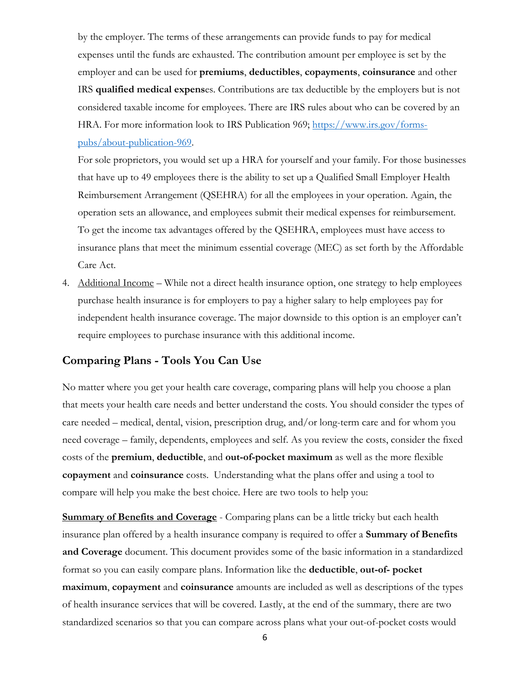by the employer. The terms of these arrangements can provide funds to pay for medical expenses until the funds are exhausted. The contribution amount per employee is set by the employer and can be used for **premiums**, **deductibles**, **copayments**, **coinsurance** and other IRS **qualified medical expens**es. Contributions are tax deductible by the employers but is not considered taxable income for employees. There are IRS rules about who can be covered by an HRA. For more information look to IRS Publication 969; [https://www.irs.gov/forms](https://www.irs.gov/forms-pubs/about-publication-969)[pubs/about-publication-969.](https://www.irs.gov/forms-pubs/about-publication-969)

For sole proprietors, you would set up a HRA for yourself and your family. For those businesses that have up to 49 employees there is the ability to set up a Qualified Small Employer Health Reimbursement Arrangement (QSEHRA) for all the employees in your operation. Again, the operation sets an allowance, and employees submit their medical expenses for reimbursement. To get the income tax advantages offered by the QSEHRA, employees must have access to insurance plans that meet the minimum essential coverage (MEC) as set forth by the Affordable Care Act.

4. Additional Income – While not a direct health insurance option, one strategy to help employees purchase health insurance is for employers to pay a higher salary to help employees pay for independent health insurance coverage. The major downside to this option is an employer can't require employees to purchase insurance with this additional income.

## **Comparing Plans - Tools You Can Use**

No matter where you get your health care coverage, comparing plans will help you choose a plan that meets your health care needs and better understand the costs. You should consider the types of care needed – medical, dental, vision, prescription drug, and/or long-term care and for whom you need coverage – family, dependents, employees and self. As you review the costs, consider the fixed costs of the **premium**, **deductible**, and **out-of-pocket maximum** as well as the more flexible **copayment** and **coinsurance** costs. Understanding what the plans offer and using a tool to compare will help you make the best choice. Here are two tools to help you:

**Summary of Benefits and Coverage** - Comparing plans can be a little tricky but each health insurance plan offered by a health insurance company is required to offer a **Summary of Benefits and Coverage** document. This document provides some of the basic information in a standardized format so you can easily compare plans. Information like the **deductible**, **out-of- pocket maximum**, **copayment** and **coinsurance** amounts are included as well as descriptions of the types of health insurance services that will be covered. Lastly, at the end of the summary, there are two standardized scenarios so that you can compare across plans what your out-of-pocket costs would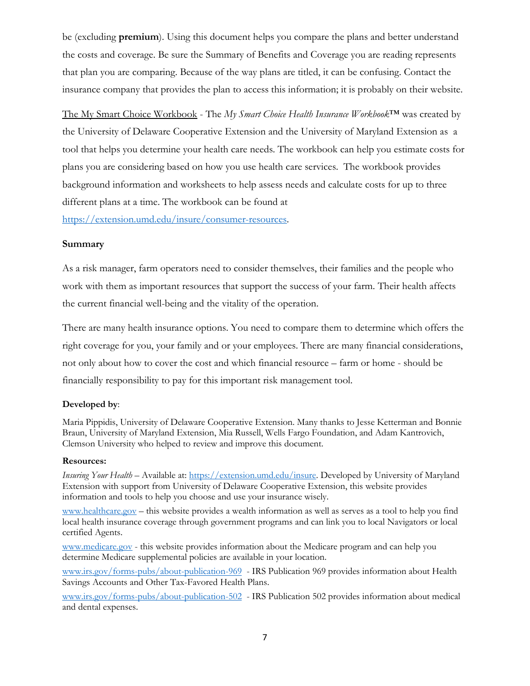be (excluding **premium**). Using this document helps you compare the plans and better understand the costs and coverage. Be sure the Summary of Benefits and Coverage you are reading represents that plan you are comparing. Because of the way plans are titled, it can be confusing. Contact the insurance company that provides the plan to access this information; it is probably on their website.

The My Smart Choice Workbook - The *My Smart Choice Health Insurance Workbook*™ was created by the University of Delaware Cooperative Extension and the University of Maryland Extension as a tool that helps you determine your health care needs. The workbook can help you estimate costs for plans you are considering based on how you use health care services. The workbook provides background information and worksheets to help assess needs and calculate costs for up to three different plans at a time. The workbook can be found at

[https://extension.umd.edu/insure/consumer-resources.](https://extension.umd.edu/insure/consumer-resources) 

#### **Summary**

As a risk manager, farm operators need to consider themselves, their families and the people who work with them as important resources that support the success of your farm. Their health affects the current financial well-being and the vitality of the operation.

There are many health insurance options. You need to compare them to determine which offers the right coverage for you, your family and or your employees. There are many financial considerations, not only about how to cover the cost and which financial resource – farm or home - should be financially responsibility to pay for this important risk management tool.

#### **Developed by**:

Maria Pippidis, University of Delaware Cooperative Extension. Many thanks to Jesse Ketterman and Bonnie Braun, University of Maryland Extension, Mia Russell, Wells Fargo Foundation, and Adam Kantrovich, Clemson University who helped to review and improve this document.

#### **Resources:**

*Insuring Your Health* – Available at: [https://extension.umd.edu/insure.](https://extension.umd.edu/insure) Developed by University of Maryland Extension with support from University of Delaware Cooperative Extension, this website provides information and tools to help you choose and use your insurance wisely.

[www.healthcare.gov](http://www.healthcare.gov/) – this website provides a wealth information as well as serves as a tool to help you find local health insurance coverage through government programs and can link you to local Navigators or local certified Agents.

[www.medicare.gov](http://www.medicare.gov/) - this website provides information about the Medicare program and can help you determine Medicare supplemental policies are available in your location.

[www.irs.gov/forms-pubs/about-publication-969](http://www.irs.gov/forms-pubs/about-publication-969) - IRS Publication 969 provides information about Health Savings Accounts and Other Tax-Favored Health Plans.

[www.irs.gov/forms-pubs/about-publication-502](http://www.irs.gov/forms-pubs/about-publication-502) - IRS Publication 502 provides information about medical and dental expenses.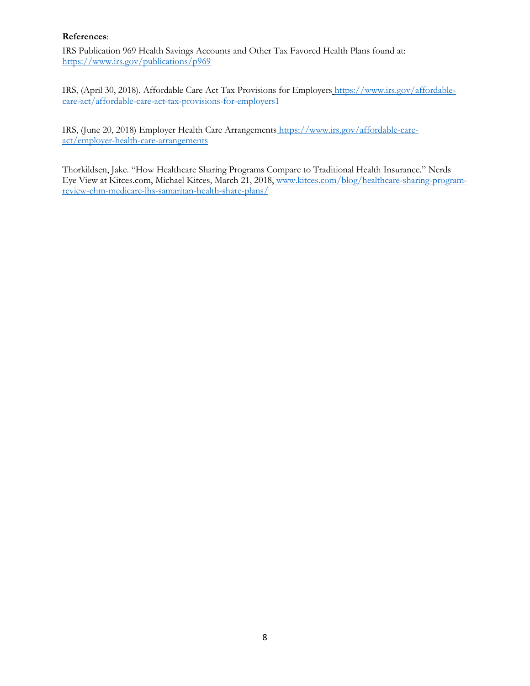### **References**:

IRS Publication 969 Health Savings Accounts and Other Tax Favored Health Plans found at: <https://www.irs.gov/publications/p969>

IRS, (April 30, 2018). Affordable Care Act Tax Provisions for Employers [https://www.irs.gov/affordable](https://www.irs.gov/affordable-care-act/affordable-care-act-tax-provisions-for-employers1)[care-act/affordable-care-act-tax-provisions-for-employers1](https://www.irs.gov/affordable-care-act/affordable-care-act-tax-provisions-for-employers1)

IRS, (June 20, 2018) Employer Health Care Arrangements https://www.irs.gov/affordable-careact/employer-health-care-arrangements

Thorkildsen, Jake. "How Healthcare Sharing Programs Compare to Traditional Health Insurance." Nerds Eye View at Kitces.com, Michael Kitces, March 21, 2018, www.kitces.com/blog/healthcare-sharing-programreview-chm-medicare-lhs-samaritan-health-share-plans/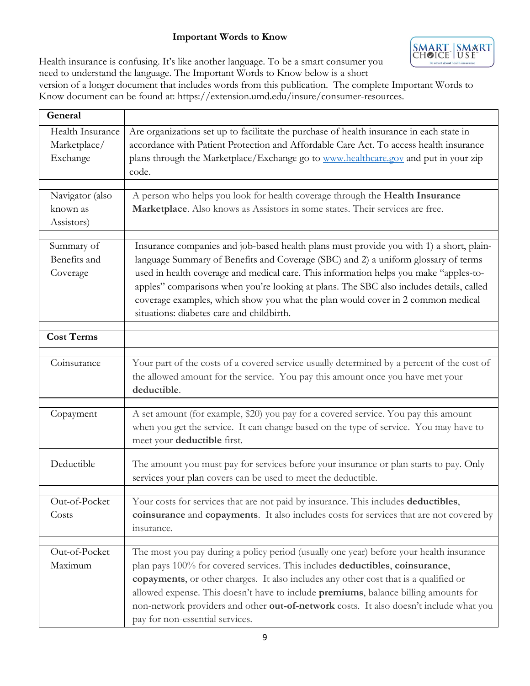### **Important Words to Know**



Health insurance is confusing. It's like another language. To be a smart consumer you need to understand the language. The Important Words to Know below is a short

version of a longer document that includes words from this publication. The complete Important Words to Know document can be found at: https://extension.umd.edu/insure/consumer-resources.

| General                                      |                                                                                                                                                                                                                                                                                                                                                                                                                                                                                                   |
|----------------------------------------------|---------------------------------------------------------------------------------------------------------------------------------------------------------------------------------------------------------------------------------------------------------------------------------------------------------------------------------------------------------------------------------------------------------------------------------------------------------------------------------------------------|
| Health Insurance<br>Marketplace/<br>Exchange | Are organizations set up to facilitate the purchase of health insurance in each state in<br>accordance with Patient Protection and Affordable Care Act. To access health insurance<br>plans through the Marketplace/Exchange go to www.healthcare.gov and put in your zip<br>code.                                                                                                                                                                                                                |
| Navigator (also<br>known as<br>Assistors)    | A person who helps you look for health coverage through the Health Insurance<br>Marketplace. Also knows as Assistors in some states. Their services are free.                                                                                                                                                                                                                                                                                                                                     |
| Summary of<br>Benefits and<br>Coverage       | Insurance companies and job-based health plans must provide you with 1) a short, plain-<br>language Summary of Benefits and Coverage (SBC) and 2) a uniform glossary of terms<br>used in health coverage and medical care. This information helps you make "apples-to-<br>apples" comparisons when you're looking at plans. The SBC also includes details, called<br>coverage examples, which show you what the plan would cover in 2 common medical<br>situations: diabetes care and childbirth. |
| <b>Cost Terms</b>                            |                                                                                                                                                                                                                                                                                                                                                                                                                                                                                                   |
| Coinsurance                                  | Your part of the costs of a covered service usually determined by a percent of the cost of<br>the allowed amount for the service. You pay this amount once you have met your<br>deductible.                                                                                                                                                                                                                                                                                                       |
| Copayment                                    | A set amount (for example, \$20) you pay for a covered service. You pay this amount<br>when you get the service. It can change based on the type of service. You may have to<br>meet your deductible first.                                                                                                                                                                                                                                                                                       |
| Deductible                                   | The amount you must pay for services before your insurance or plan starts to pay. Only<br>services your plan covers can be used to meet the deductible.                                                                                                                                                                                                                                                                                                                                           |
| Out-of-Pocket<br>Costs                       | Your costs for services that are not paid by insurance. This includes deductibles,<br>coinsurance and copayments. It also includes costs for services that are not covered by<br>insurance.                                                                                                                                                                                                                                                                                                       |
| Out-of-Pocket<br>Maximum                     | The most you pay during a policy period (usually one year) before your health insurance<br>plan pays 100% for covered services. This includes deductibles, coinsurance,<br>copayments, or other charges. It also includes any other cost that is a qualified or<br>allowed expense. This doesn't have to include premiums, balance billing amounts for<br>non-network providers and other out-of-network costs. It also doesn't include what you<br>pay for non-essential services.               |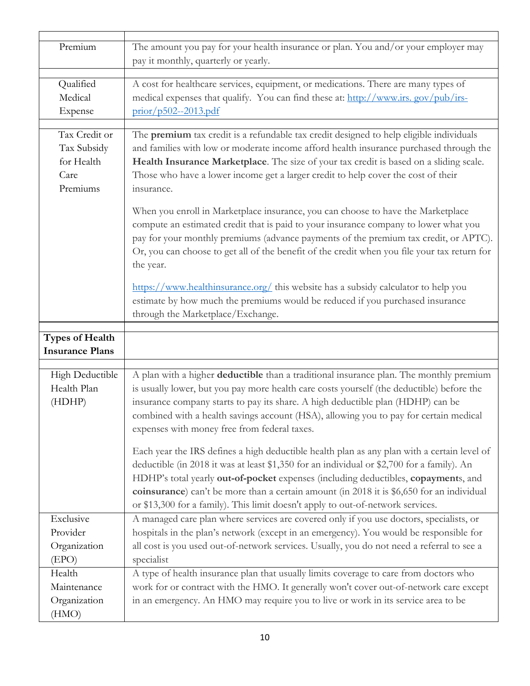| Premium                                                        | The amount you pay for your health insurance or plan. You and/or your employer may<br>pay it monthly, quarterly or yearly.                                                                                                                                                                                                                                                                                                                                                                                                                                                                                                                                                                         |
|----------------------------------------------------------------|----------------------------------------------------------------------------------------------------------------------------------------------------------------------------------------------------------------------------------------------------------------------------------------------------------------------------------------------------------------------------------------------------------------------------------------------------------------------------------------------------------------------------------------------------------------------------------------------------------------------------------------------------------------------------------------------------|
| Qualified<br>Medical<br>Expense                                | A cost for healthcare services, equipment, or medications. There are many types of<br>medical expenses that qualify. You can find these at: http://www.irs.gov/pub/irs-<br>$prior/p502--2013.pdf$                                                                                                                                                                                                                                                                                                                                                                                                                                                                                                  |
| Tax Credit or<br>Tax Subsidy<br>for Health<br>Care<br>Premiums | The premium tax credit is a refundable tax credit designed to help eligible individuals<br>and families with low or moderate income afford health insurance purchased through the<br>Health Insurance Marketplace. The size of your tax credit is based on a sliding scale.<br>Those who have a lower income get a larger credit to help cover the cost of their<br>insurance.                                                                                                                                                                                                                                                                                                                     |
|                                                                | When you enroll in Marketplace insurance, you can choose to have the Marketplace<br>compute an estimated credit that is paid to your insurance company to lower what you<br>pay for your monthly premiums (advance payments of the premium tax credit, or APTC).<br>Or, you can choose to get all of the benefit of the credit when you file your tax return for<br>the year.                                                                                                                                                                                                                                                                                                                      |
|                                                                | https://www.healthinsurance.org/ this website has a subsidy calculator to help you<br>estimate by how much the premiums would be reduced if you purchased insurance<br>through the Marketplace/Exchange.                                                                                                                                                                                                                                                                                                                                                                                                                                                                                           |
| <b>Types of Health</b><br><b>Insurance Plans</b>               |                                                                                                                                                                                                                                                                                                                                                                                                                                                                                                                                                                                                                                                                                                    |
| High Deductible<br>Health Plan<br>(HDHP)                       | A plan with a higher deductible than a traditional insurance plan. The monthly premium<br>is usually lower, but you pay more health care costs yourself (the deductible) before the<br>insurance company starts to pay its share. A high deductible plan (HDHP) can be<br>combined with a health savings account (HSA), allowing you to pay for certain medical<br>expenses with money free from federal taxes.<br>Each year the IRS defines a high deductible health plan as any plan with a certain level of<br>deductible (in 2018 it was at least \$1,350 for an individual or \$2,700 for a family). An<br>HDHP's total yearly out-of-pocket expenses (including deductibles, copayments, and |
|                                                                | coinsurance) can't be more than a certain amount (in 2018 it is \$6,650 for an individual<br>or \$13,300 for a family). This limit doesn't apply to out-of-network services.                                                                                                                                                                                                                                                                                                                                                                                                                                                                                                                       |
| Exclusive<br>Provider<br>Organization<br>(EPO)                 | A managed care plan where services are covered only if you use doctors, specialists, or<br>hospitals in the plan's network (except in an emergency). You would be responsible for<br>all cost is you used out-of-network services. Usually, you do not need a referral to see a<br>specialist                                                                                                                                                                                                                                                                                                                                                                                                      |
| Health<br>Maintenance<br>Organization<br>(HMO)                 | A type of health insurance plan that usually limits coverage to care from doctors who<br>work for or contract with the HMO. It generally won't cover out-of-network care except<br>in an emergency. An HMO may require you to live or work in its service area to be                                                                                                                                                                                                                                                                                                                                                                                                                               |